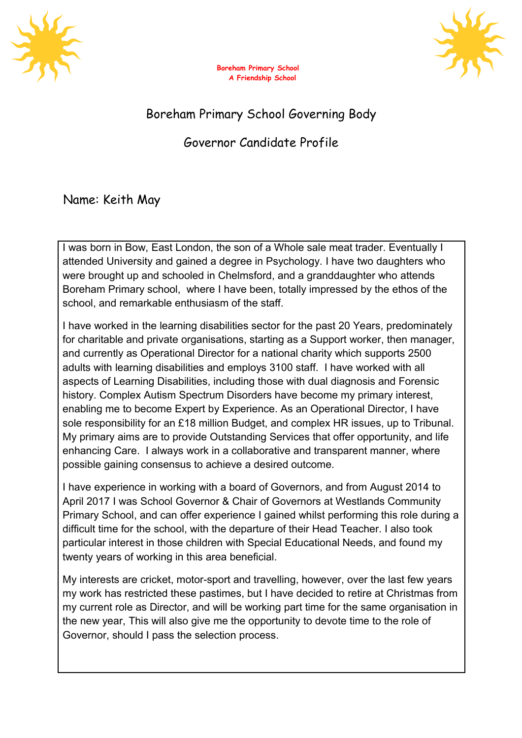





## Boreham Primary School Governing Body

## Governor Candidate Profile

Name: Keith May

I was born in Bow, East London, the son of a Whole sale meat trader. Eventually I attended University and gained a degree in Psychology. I have two daughters who were brought up and schooled in Chelmsford, and a granddaughter who attends Boreham Primary school, where I have been, totally impressed by the ethos of the school, and remarkable enthusiasm of the staff.

I have worked in the learning disabilities sector for the past 20 Years, predominately for charitable and private organisations, starting as a Support worker, then manager, and currently as Operational Director for a national charity which supports 2500 adults with learning disabilities and employs 3100 staff. I have worked with all aspects of Learning Disabilities, including those with dual diagnosis and Forensic history. Complex Autism Spectrum Disorders have become my primary interest, enabling me to become Expert by Experience. As an Operational Director, I have sole responsibility for an £18 million Budget, and complex HR issues, up to Tribunal. My primary aims are to provide Outstanding Services that offer opportunity, and life enhancing Care. I always work in a collaborative and transparent manner, where possible gaining consensus to achieve a desired outcome.

I have experience in working with a board of Governors, and from August 2014 to April 2017 I was School Governor & Chair of Governors at Westlands Community Primary School, and can offer experience I gained whilst performing this role during a difficult time for the school, with the departure of their Head Teacher. I also took particular interest in those children with Special Educational Needs, and found my twenty years of working in this area beneficial.

My interests are cricket, motor-sport and travelling, however, over the last few years my work has restricted these pastimes, but I have decided to retire at Christmas from my current role as Director, and will be working part time for the same organisation in the new year, This will also give me the opportunity to devote time to the role of Governor, should I pass the selection process.